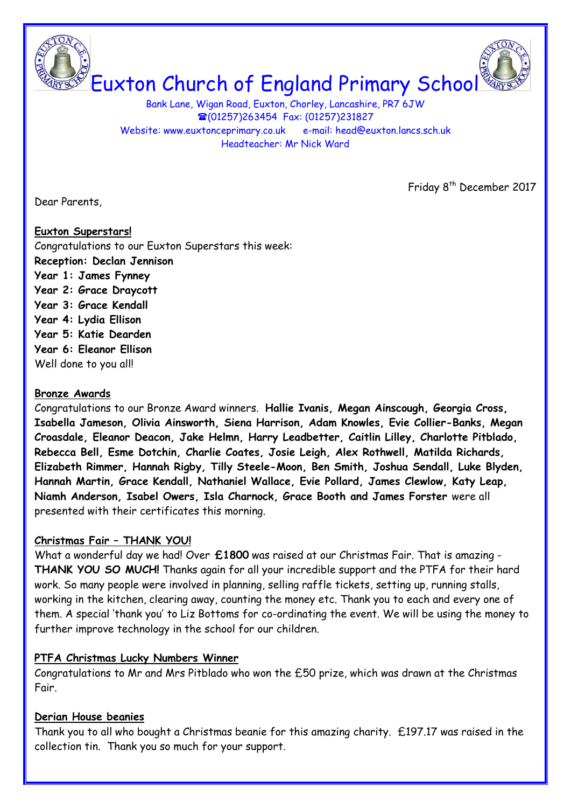Euxton Church of England Primary School

Bank Lane, Wigan Road, Euxton, Chorley, Lancashire, PR7 6JW (01257)263454 Fax: (01257)231827 Website: www.euxtonceprimary.co.uk e-mail: [head@euxton.lancs.sch.uk](mailto:head@euxton.lancs.sch.uk) Headteacher: Mr Nick Ward

Dear Parents,

Friday 8<sup>th</sup> December 2017

# **Euxton Superstars!** Congratulations to our Euxton Superstars this week: **Reception: Declan Jennison Year 1: James Fynney Year 2: Grace Draycott Year 3: Grace Kendall Year 4: Lydia Ellison Year 5: Katie Dearden Year 6: Eleanor Ellison** Well done to you all!

# **Bronze Awards**

Congratulations to our Bronze Award winners. **Hallie Ivanis, Megan Ainscough, Georgia Cross, Isabella Jameson, Olivia Ainsworth, Siena Harrison, Adam Knowles, Evie Collier-Banks, Megan Croasdale, Eleanor Deacon, Jake Helmn, Harry Leadbetter, Caitlin Lilley, Charlotte Pitblado, Rebecca Bell, Esme Dotchin, Charlie Coates, Josie Leigh, Alex Rothwell, Matilda Richards, Elizabeth Rimmer, Hannah Rigby, Tilly Steele-Moon, Ben Smith, Joshua Sendall, Luke Blyden, Hannah Martin, Grace Kendall, Nathaniel Wallace, Evie Pollard, James Clewlow, Katy Leap, Niamh Anderson, Isabel Owers, Isla Charnock, Grace Booth and James Forster** were all presented with their certificates this morning.

# **Christmas Fair – THANK YOU!**

What a wonderful day we had! Over **£1800** was raised at our Christmas Fair. That is amazing - **THANK YOU SO MUCH!** Thanks again for all your incredible support and the PTFA for their hard work. So many people were involved in planning, selling raffle tickets, setting up, running stalls, working in the kitchen, clearing away, counting the money etc. Thank you to each and every one of them. A special 'thank you' to Liz Bottoms for co-ordinating the event. We will be using the money to further improve technology in the school for our children.

# **PTFA Christmas Lucky Numbers Winner**

Congratulations to Mr and Mrs Pitblado who won the £50 prize, which was drawn at the Christmas Fair.

# **Derian House beanies**

Thank you to all who bought a Christmas beanie for this amazing charity. £197.17 was raised in the collection tin. Thank you so much for your support.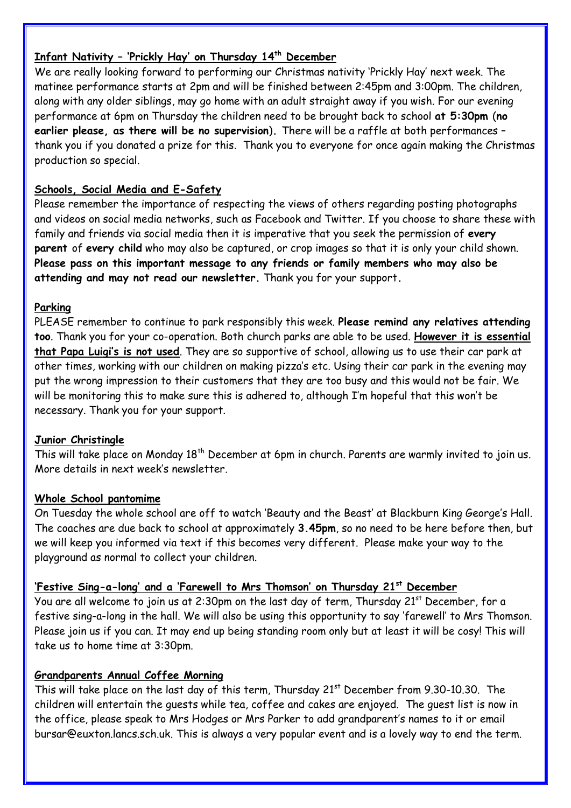# **Infant Nativity – 'Prickly Hay' on Thursday 14th December**

We are really looking forward to performing our Christmas nativity 'Prickly Hay' next week. The matinee performance starts at 2pm and will be finished between 2:45pm and 3:00pm. The children, along with any older siblings, may go home with an adult straight away if you wish. For our evening performance at 6pm on Thursday the children need to be brought back to school **at 5:30pm** (**no earlier please, as there will be no supervision**)**.** There will be a raffle at both performances – thank you if you donated a prize for this. Thank you to everyone for once again making the Christmas production so special.

# **Schools, Social Media and E-Safety**

Please remember the importance of respecting the views of others regarding posting photographs and videos on social media networks, such as Facebook and Twitter. If you choose to share these with family and friends via social media then it is imperative that you seek the permission of **every parent** of **every child** who may also be captured, or crop images so that it is only your child shown. **Please pass on this important message to any friends or family members who may also be attending and may not read our newsletter.** Thank you for your support**.**

# **Parking**

PLEASE remember to continue to park responsibly this week. **Please remind any relatives attending too**. Thank you for your co-operation. Both church parks are able to be used. **However it is essential that Papa Luigi's is not used**. They are so supportive of school, allowing us to use their car park at other times, working with our children on making pizza's etc. Using their car park in the evening may put the wrong impression to their customers that they are too busy and this would not be fair. We will be monitoring this to make sure this is adhered to, although I'm hopeful that this won't be necessary. Thank you for your support.

# **Junior Christingle**

This will take place on Monday 18<sup>th</sup> December at 6pm in church. Parents are warmly invited to join us. More details in next week's newsletter.

# **Whole School pantomime**

On Tuesday the whole school are off to watch 'Beauty and the Beast' at Blackburn King George's Hall. The coaches are due back to school at approximately **3.45pm**, so no need to be here before then, but we will keep you informed via text if this becomes very different. Please make your way to the playground as normal to collect your children.

# **'Festive Sing-a-long' and a 'Farewell to Mrs Thomson' on Thursday 21st December**

You are all welcome to join us at 2:30pm on the last day of term, Thursday 21<sup>st</sup> December, for a festive sing-a-long in the hall. We will also be using this opportunity to say 'farewell' to Mrs Thomson. Please join us if you can. It may end up being standing room only but at least it will be cosy! This will take us to home time at 3:30pm.

# **Grandparents Annual Coffee Morning**

This will take place on the last day of this term, Thursday  $21<sup>st</sup>$  December from 9.30-10.30. The children will entertain the guests while tea, coffee and cakes are enjoyed. The guest list is now in the office, please speak to Mrs Hodges or Mrs Parker to add grandparent's names to it or email [bursar@euxton.lancs.sch.uk.](mailto:bursar@euxton.lancs.sch.uk) This is always a very popular event and is a lovely way to end the term.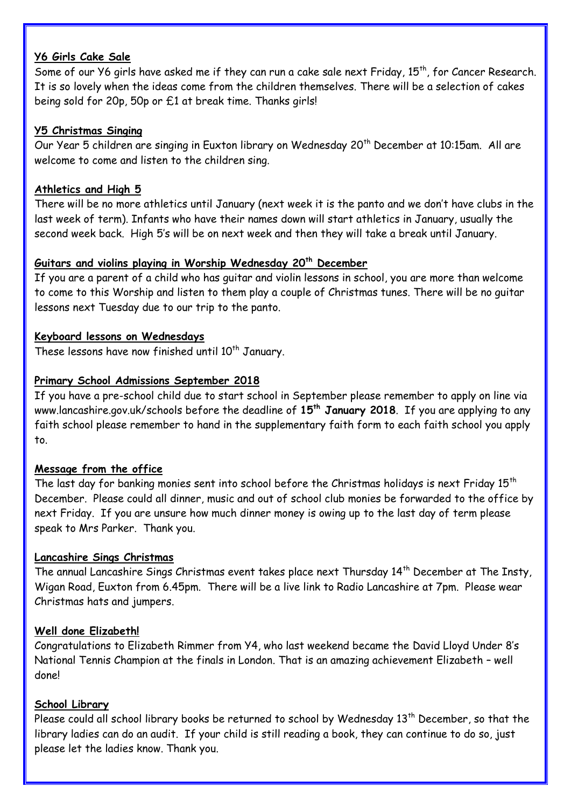## **Y6 Girls Cake Sale**

Some of our Y6 girls have asked me if they can run a cake sale next Friday, 15<sup>th</sup>, for Cancer Research. It is so lovely when the ideas come from the children themselves. There will be a selection of cakes being sold for 20p, 50p or £1 at break time. Thanks girls!

## **Y5 Christmas Singing**

Our Year 5 children are singing in Euxton library on Wednesday 20<sup>th</sup> December at 10:15am. All are welcome to come and listen to the children sing.

## **Athletics and High 5**

There will be no more athletics until January (next week it is the panto and we don't have clubs in the last week of term). Infants who have their names down will start athletics in January, usually the second week back. High 5's will be on next week and then they will take a break until January.

## **Guitars and violins playing in Worship Wednesday 20th December**

If you are a parent of a child who has guitar and violin lessons in school, you are more than welcome to come to this Worship and listen to them play a couple of Christmas tunes. There will be no guitar lessons next Tuesday due to our trip to the panto.

## **Keyboard lessons on Wednesdays**

These lessons have now finished until  $10<sup>th</sup>$  January.

### **Primary School Admissions September 2018**

If you have a pre-school child due to start school in September please remember to apply on line via [www.lancashire.gov.uk/schools](http://www.lancashire.gov.uk/schools) before the deadline of **15th January 2018**. If you are applying to any faith school please remember to hand in the supplementary faith form to each faith school you apply to.

## **Message from the office**

The last day for banking monies sent into school before the Christmas holidays is next Friday  $15<sup>th</sup>$ December. Please could all dinner, music and out of school club monies be forwarded to the office by next Friday. If you are unsure how much dinner money is owing up to the last day of term please speak to Mrs Parker. Thank you.

### **Lancashire Sings Christmas**

The annual Lancashire Sings Christmas event takes place next Thursday 14th December at The Insty, Wigan Road, Euxton from 6.45pm. There will be a live link to Radio Lancashire at 7pm. Please wear Christmas hats and jumpers.

### **Well done Elizabeth!**

Congratulations to Elizabeth Rimmer from Y4, who last weekend became the David Lloyd Under 8's National Tennis Champion at the finals in London. That is an amazing achievement Elizabeth – well done!

### **School Library**

Please could all school library books be returned to school by Wednesday  $13<sup>th</sup>$  December, so that the library ladies can do an audit. If your child is still reading a book, they can continue to do so, just please let the ladies know. Thank you.